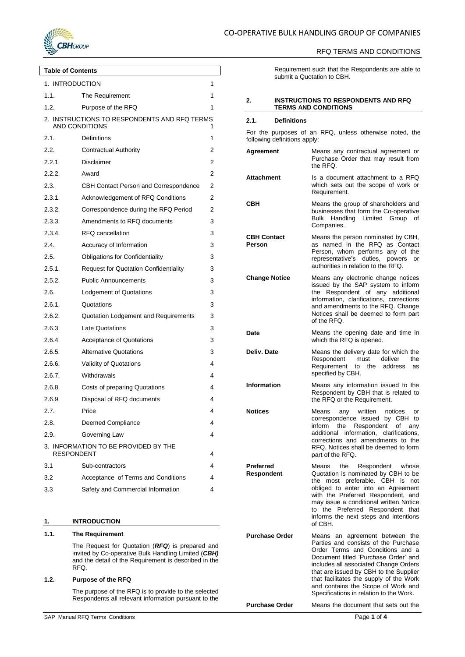

## RFQ TERMS AND CONDITIONS

**Table of Contents** 1. [INTRODUCTION](#page-0-0) 1 1.1. [The Requirement](#page-0-1) 1

| 1.2.                                                                       | Purpose of the RFQ                           | 1 |  |
|----------------------------------------------------------------------------|----------------------------------------------|---|--|
| 2. INSTRUCTIONS TO RESPONDENTS AND RFQ TERMS<br><b>AND CONDITIONS</b><br>1 |                                              |   |  |
| 2.1.                                                                       | Definitions                                  | 1 |  |
| 2.2.                                                                       | <b>Contractual Authority</b>                 | 2 |  |
| 2.2.1.                                                                     | <b>Disclaimer</b>                            | 2 |  |
| 2.2.2.                                                                     | Award                                        | 2 |  |
| 2.3.                                                                       | CBH Contact Person and Correspondence        | 2 |  |
| 2.3.1.                                                                     | Acknowledgement of RFQ Conditions            | 2 |  |
| 2.3.2.                                                                     | Correspondence during the RFQ Period         | 2 |  |
| 2.3.3.                                                                     | Amendments to RFQ documents                  | 3 |  |
| 2.3.4.                                                                     | RFQ cancellation                             | 3 |  |
| 2.4.                                                                       | Accuracy of Information                      | 3 |  |
| 2.5.                                                                       | <b>Obligations for Confidentiality</b>       | 3 |  |
| 2.5.1.                                                                     | <b>Request for Quotation Confidentiality</b> | 3 |  |
| 2.5.2.                                                                     | <b>Public Announcements</b>                  | 3 |  |
| 2.6.                                                                       | Lodgement of Quotations                      | 3 |  |
| 2.6.1.                                                                     | Quotations                                   | 3 |  |
| 2.6.2.                                                                     | Quotation Lodgement and Requirements         | 3 |  |
| 2.6.3.                                                                     | <b>Late Quotations</b>                       | 3 |  |
| 2.6.4.                                                                     | <b>Acceptance of Quotations</b>              | 3 |  |
| 2.6.5.                                                                     | <b>Alternative Quotations</b>                | 3 |  |
| 2.6.6.                                                                     | Validity of Quotations                       | 4 |  |
| 2.6.7.                                                                     | Withdrawals                                  | 4 |  |
| 2.6.8.                                                                     | Costs of preparing Quotations                | 4 |  |
| 2.6.9.                                                                     | Disposal of RFQ documents                    | 4 |  |
| 2.7.                                                                       | Price                                        | 4 |  |
| 2.8.                                                                       | Deemed Compliance                            | 4 |  |
| 2.9.                                                                       | Governing Law                                | 4 |  |
| <b>RESPONDENT</b>                                                          | 3. INFORMATION TO BE PROVIDED BY THE         | 4 |  |
| 3.1                                                                        | Sub-contractors                              | 4 |  |
| 3.2                                                                        | Acceptance of Terms and Conditions           | 4 |  |
| 3.3                                                                        | Safety and Commercial Information            | 4 |  |

## <span id="page-0-0"></span>**1. INTRODUCTION**

## <span id="page-0-1"></span>**1.1. The Requirement**

The Request for Quotation (*RFQ*) is prepared and invited by Co-operative Bulk Handling Limited (*CBH)* and the detail of the Requirement is described in the RFQ.

## <span id="page-0-2"></span>**1.2. Purpose of the RFQ**

The purpose of the RFQ is to provide to the selected Respondents all relevant information pursuant to the Requirement such that the Respondents are able to submit a Quotation to CBH.

#### <span id="page-0-3"></span>**2. INSTRUCTIONS TO RESPONDENTS AND RFQ TERMS AND CONDITIONS**

#### <span id="page-0-4"></span>**2.1. Definitions**

For the purposes of an RFQ, unless otherwise noted, the following definitions apply:

- **Agreement** Means any contractual agreement or Purchase Order that may result from the RFQ. **Attachment** Is a document attachment to a RFQ which sets out the scope of work or Requirement. **CBH** Means the group of shareholders and businesses that form the Co-operative Bulk Handling Limited Group of Companies. **CBH Contact Person** Means the person nominated by CBH, as named in the RFQ as Contact Person, whom performs any of the representative's duties, powers or authorities in relation to the RFQ. **Change Notice** Means any electronic change notices issued by the SAP system to inform the Respondent of any additional information, clarifications, corrections and amendments to the RFQ. Change Notices shall be deemed to form part of the RFQ. **Date** Means the opening date and time in which the RFQ is opened. **Deliv. Date** Means the delivery date for which the Respondent must deliver the Respondent must deliver the Requirement to the address as specified by CBH. **Information** Means any information issued to the Respondent by CBH that is related to the RFQ or the Requirement. **Notices** Means any written notices or correspondence issued by CBH to inform the Respondent of any additional information, clarifications, corrections and amendments to the RFQ. Notices shall be deemed to form part of the RFQ. **Preferred Respondent** Means the Respondent whose Quotation is nominated by CBH to be the most preferable. CBH is not obliged to enter into an Agreement with the Preferred Respondent, and may issue a conditional written Notice to the Preferred Respondent that informs the next steps and intentions of CBH. **Purchase Order** Means an agreement between the Parties and consists of the Purchase Order Terms and Conditions and a Document titled 'Purchase Order' and includes all associated Change Orders
	- that are issued by CBH to the Supplier that facilitates the supply of the Work and contains the Scope of Work and Specifications in relation to the Work.

**Purchase Order** Means the document that sets out the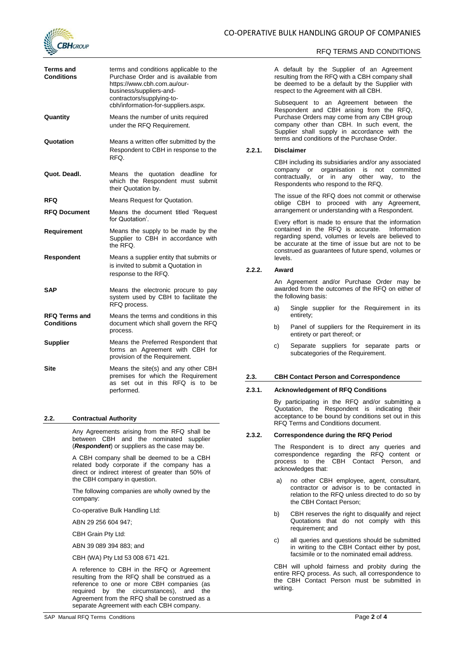

## RFQ TERMS AND CONDITIONS

| Terms and<br>Conditions     | terms and conditions applicable to the<br>Purchase Order and is available from<br>https://www.cbh.com.au/our-<br>business/suppliers-and-<br>contractors/supplying-to-<br>cbh/information-for-suppliers.aspx. |
|-----------------------------|--------------------------------------------------------------------------------------------------------------------------------------------------------------------------------------------------------------|
| Quantity                    | Means the number of units required<br>under the RFQ Requirement.                                                                                                                                             |
| Quotation                   | Means a written offer submitted by the<br>Respondent to CBH in response to the<br>RFQ.                                                                                                                       |
| Quot. Deadl.                | Means the quotation deadline for<br>which the Respondent must submit<br>their Quotation by.                                                                                                                  |
| RFQ                         | Means Request for Quotation.                                                                                                                                                                                 |
| <b>RFQ Document</b>         | Means the document titled 'Request<br>for Quotation'.                                                                                                                                                        |
| Requirement                 | Means the supply to be made by the<br>Supplier to CBH in accordance with<br>the RFO.                                                                                                                         |
| Respondent                  | Means a supplier entity that submits or<br>is invited to submit a Quotation in<br>response to the RFQ.                                                                                                       |
| SAP                         | Means the electronic procure to pay<br>system used by CBH to facilitate the<br>RFQ process.                                                                                                                  |
| RFQ Terms and<br>Conditions | Means the terms and conditions in this<br>document which shall govern the RFQ<br>process.                                                                                                                    |
| <b>Supplier</b>             | Means the Preferred Respondent that<br>forms an Agreement with CBH for<br>provision of the Requirement.                                                                                                      |
| Site                        | Means the site(s) and any other CBH<br>premises for which the Requirement<br>set out in this RFQ is to<br>as<br>be<br>performed.                                                                             |

#### <span id="page-1-0"></span>**2.2. Contractual Authority**

Any Agreements arising from the RFQ shall be between CBH and the nominated supplier (*Respondent*) or suppliers as the case may be.

A CBH company shall be deemed to be a CBH related body corporate if the company has a direct or indirect interest of greater than 50% of the CBH company in question.

The following companies are wholly owned by the company:

Co-operative Bulk Handling Ltd:

ABN 29 256 604 947;

CBH Grain Pty Ltd:

ABN 39 089 394 883; and

CBH (WA) Pty Ltd 53 008 671 421.

A reference to CBH in the RFQ or Agreement resulting from the RFQ shall be construed as a reference to one or more CBH companies (as required by the circumstances), and the Agreement from the RFQ shall be construed as a separate Agreement with each CBH company.

SAP Manual RFQ Terms Conditions **Page 2** of 4

A default by the Supplier of an Agreement resulting from the RFQ with a CBH company shall be deemed to be a default by the Supplier with respect to the Agreement with all CBH.

Subsequent to an Agreement between the Respondent and CBH arising from the RFQ, Purchase Orders may come from any CBH group company other than CBH. In such event, the Supplier shall supply in accordance with the terms and conditions of the Purchase Order.

#### <span id="page-1-1"></span>**2.2.1. Disclaimer**

CBH including its subsidiaries and/or any associated company or organisation is not committed contractually, or in any other way, to the Respondents who respond to the RFQ.

The issue of the RFQ does not commit or otherwise oblige CBH to proceed with any Agreement, arrangement or understanding with a Respondent.

Every effort is made to ensure that the information contained in the RFQ is accurate. Information regarding spend, volumes or levels are believed to be accurate at the time of issue but are not to be construed as guarantees of future spend, volumes or levels.

## <span id="page-1-2"></span>**2.2.2. Award**

An Agreement and/or Purchase Order may be awarded from the outcomes of the RFQ on either of the following basis:

- a) Single supplier for the Requirement in its entirety;
- b) Panel of suppliers for the Requirement in its entirety or part thereof; or
- c) Separate suppliers for separate parts or subcategories of the Requirement.

#### <span id="page-1-3"></span>**2.3. CBH Contact Person and Correspondence**

## <span id="page-1-4"></span>**2.3.1. Acknowledgement of RFQ Conditions**

By participating in the RFQ and/or submitting a Quotation, the Respondent is indicating their acceptance to be bound by conditions set out in this RFQ Terms and Conditions document.

#### <span id="page-1-5"></span>**2.3.2. Correspondence during the RFQ Period**

The Respondent is to direct any queries and correspondence regarding the RFQ content or process to the CBH Contact Person, and acknowledges that:

- a) no other CBH employee, agent, consultant, contractor or advisor is to be contacted in relation to the RFQ unless directed to do so by the CBH Contact Person;
- b) CBH reserves the right to disqualify and reject Quotations that do not comply with this requirement; and
- c) all queries and questions should be submitted in writing to the CBH Contact either by post, facsimile or to the nominated email address.

CBH will uphold fairness and probity during the entire RFQ process. As such, all correspondence to the CBH Contact Person must be submitted in writing.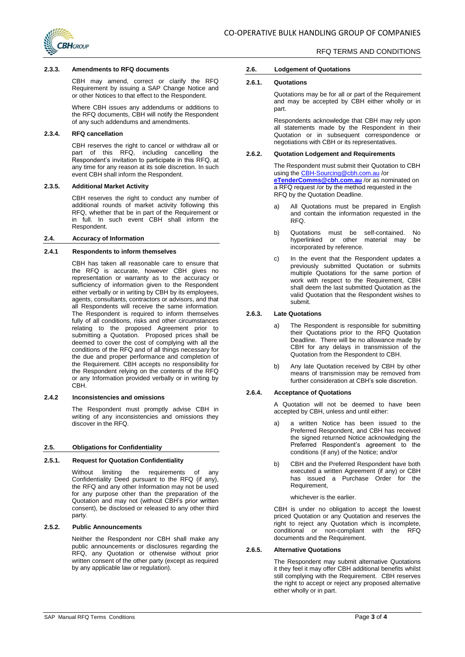

#### <span id="page-2-0"></span>**2.3.3. Amendments to RFQ documents**

CBH may amend, correct or clarify the RFQ Requirement by issuing a SAP Change Notice and or other Notices to that effect to the Respondent.

Where CBH issues any addendums or additions to the RFQ documents, CBH will notify the Respondent of any such addendums and amendments.

## <span id="page-2-1"></span>**2.3.4. RFQ cancellation**

CBH reserves the right to cancel or withdraw all or part of this RFQ, including cancelling the Respondent's invitation to participate in this RFQ, at any time for any reason at its sole discretion. In such event CBH shall inform the Respondent.

## **2.3.5. Additional Market Activity**

CBH reserves the right to conduct any number of additional rounds of market activity following this RFQ, whether that be in part of the Requirement or in full. In such event CBH shall inform the Respondent.

#### <span id="page-2-2"></span>**2.4. Accuracy of Information**

#### **2.4.1 Respondents to inform themselves**

CBH has taken all reasonable care to ensure that the RFQ is accurate, however CBH gives no representation or warranty as to the accuracy or sufficiency of information given to the Respondent either verbally or in writing by CBH by its employees, agents, consultants, contractors or advisors, and that all Respondents will receive the same information. The Respondent is required to inform themselves fully of all conditions, risks and other circumstances relating to the proposed Agreement prior to submitting a Quotation. Proposed prices shall be deemed to cover the cost of complying with all the conditions of the RFQ and of all things necessary for the due and proper performance and completion of the Requirement. CBH accepts no responsibility for the Respondent relying on the contents of the RFQ or any Information provided verbally or in writing by CBH.

## **2.4.2 Inconsistencies and omissions**

The Respondent must promptly advise CBH in writing of any inconsistencies and omissions they discover in the RFQ.

#### <span id="page-2-3"></span>**2.5. Obligations for Confidentiality**

## <span id="page-2-4"></span>**2.5.1. Request for Quotation Confidentiality**

Without limiting the requirements of any Confidentiality Deed pursuant to the RFQ (if any), the RFQ and any other Information may not be used for any purpose other than the preparation of the Quotation and may not (without CBH's prior written consent), be disclosed or released to any other third party.

## <span id="page-2-5"></span>**2.5.2. Public Announcements**

Neither the Respondent nor CBH shall make any public announcements or disclosures regarding the RFQ, any Quotation or otherwise without prior written consent of the other party (except as required by any applicable law or regulation).

# RFQ TERMS AND CONDITIONS

#### <span id="page-2-6"></span>**2.6. Lodgement of Quotations**

#### <span id="page-2-7"></span>**2.6.1. Quotations**

Quotations may be for all or part of the Requirement and may be accepted by CBH either wholly or in part.

Respondents acknowledge that CBH may rely upon all statements made by the Respondent in their Quotation or in subsequent correspondence or negotiations with CBH or its representatives.

## <span id="page-2-8"></span>**2.6.2. Quotation Lodgement and Requirements**

The Respondent must submit their Quotation to CBH using the [CBH-Sourcing@cbh.com.au](mailto:CBH-Sourcing@cbh.com.au) /or **[eTenderComms@cbh.com.au](mailto:eTenderComms@cbh.com.au)** /or as nominated on a RFQ request /or by the method requested in the RFQ by the Quotation Deadline.

- a) All Quotations must be prepared in English and contain the information requested in the RFQ.
- b) Quotations must be self-contained. No hyperlinked or other material may be incorporated by reference.
- c) In the event that the Respondent updates a previously submitted Quotation or submits multiple Quotations for the same portion of work with respect to the Requirement, CBH shall deem the last submitted Quotation as the valid Quotation that the Respondent wishes to submit.

## <span id="page-2-9"></span>**2.6.3. Late Quotations**

- a) The Respondent is responsible for submitting their Quotations prior to the RFQ Quotation Deadline. There will be no allowance made by CBH for any delays in transmission of the Quotation from the Respondent to CBH.
- b) Any late Quotation received by CBH by other means of transmission may be removed from further consideration at CBH's sole discretion.

## <span id="page-2-10"></span>**2.6.4. Acceptance of Quotations**

A Quotation will not be deemed to have been accepted by CBH, unless and until either:

- a) a written Notice has been issued to the Preferred Respondent, and CBH has received the signed returned Notice acknowledging the Preferred Respondent's agreement to the conditions (if any) of the Notice; and/or
- b) CBH and the Preferred Respondent have both executed a written Agreement (if any) or CBH has issued a Purchase Order for the Requirement,

#### whichever is the earlier.

CBH is under no obligation to accept the lowest priced Quotation or any Quotation and reserves the right to reject any Quotation which is incomplete, conditional or non-compliant with the RFQ documents and the Requirement.

## <span id="page-2-11"></span>**2.6.5. Alternative Quotations**

The Respondent may submit alternative Quotations it they feel it may offer CBH additional benefits whilst still complying with the Requirement. CBH reserves the right to accept or reject any proposed alternative either wholly or in part.